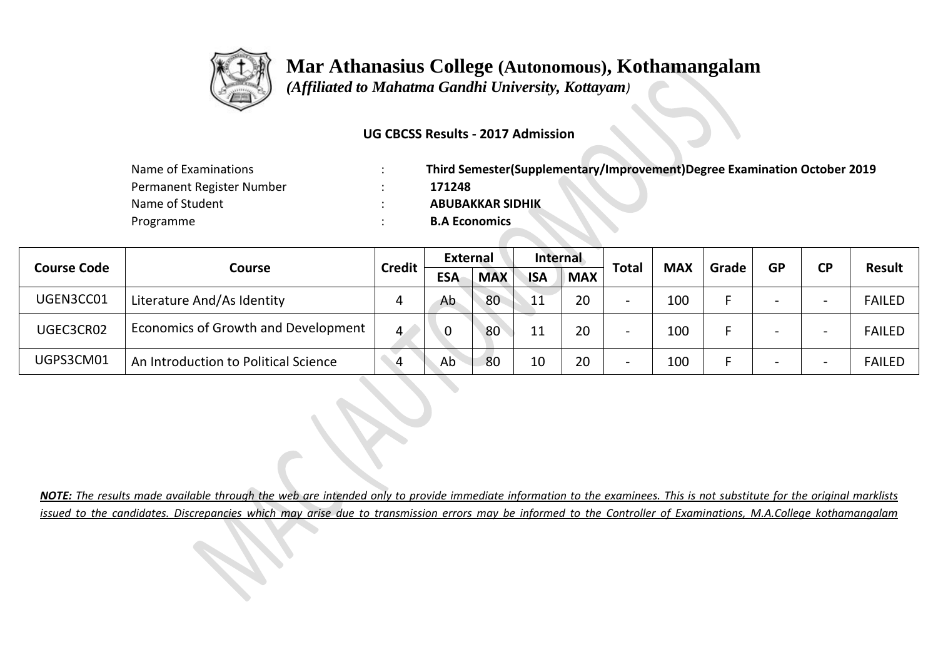

 *(Affiliated to Mahatma Gandhi University, Kottayam)*

#### **UG CBCSS Results - 2017 Admission**

| Name of Examinations      | Third Semester(Supplementary/Improvement)Degree Examination October 2019 |
|---------------------------|--------------------------------------------------------------------------|
| Permanent Register Number | 171248                                                                   |
| Name of Student           | <b>ABUBAKKAR SIDHIK</b>                                                  |
| Programme                 | <b>B.A Economics</b>                                                     |

|                    |                                      | <b>Credit</b> | <b>External</b> |            | Internal   |            | <b>Total</b>             |            |       |           |           | <b>Result</b> |
|--------------------|--------------------------------------|---------------|-----------------|------------|------------|------------|--------------------------|------------|-------|-----------|-----------|---------------|
| <b>Course Code</b> | Course                               |               | <b>ESA</b>      | <b>MAX</b> | <b>ISA</b> | <b>MAX</b> |                          | <b>MAX</b> | Grade | <b>GP</b> | <b>CP</b> |               |
| UGEN3CC01          | Literature And/As Identity           | 4             | Ab              | 80         | 11         | 20         | $\overline{\phantom{0}}$ | 100        |       |           |           | <b>FAILED</b> |
| UGEC3CR02          | Economics of Growth and Development  | 4             |                 | 80         | 11         | 20         | $\overline{\phantom{0}}$ | 100        |       |           |           | <b>FAILED</b> |
| UGPS3CM01          | An Introduction to Political Science | 4             | Ab              | 80         | 10         | 20         | $\overline{\phantom{0}}$ | 100        |       |           |           | <b>FAILED</b> |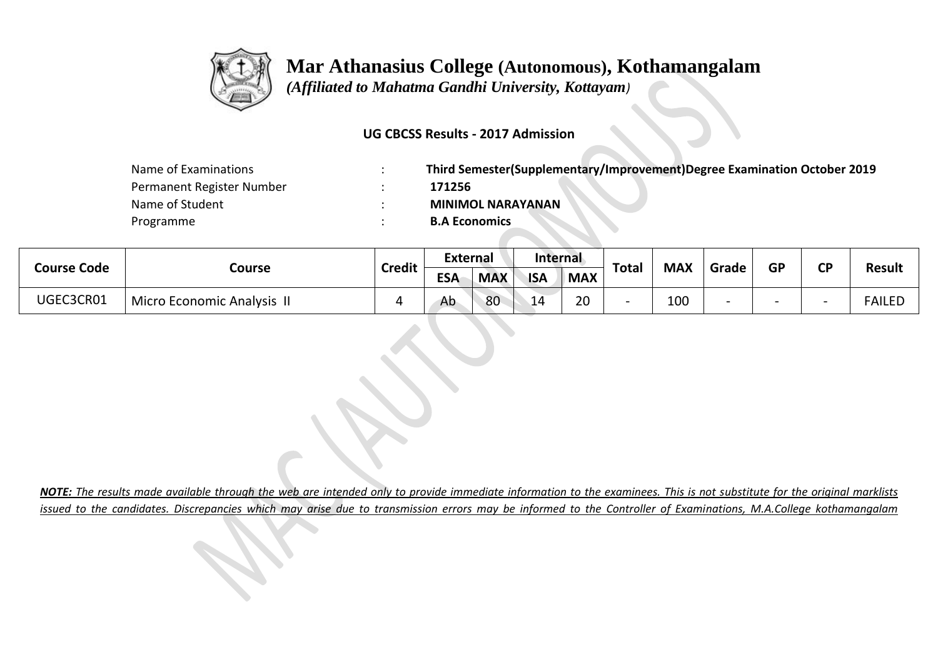

 *(Affiliated to Mahatma Gandhi University, Kottayam)*

### **UG CBCSS Results - 2017 Admission**

| Name of Examinations      | Third Semester(Supplementary/Improvement)Degree Examination October 2019 |
|---------------------------|--------------------------------------------------------------------------|
| Permanent Register Number | 171256                                                                   |
| Name of Student           | <b>MINIMOL NARAYANAN</b>                                                 |
| Programme                 | <b>B.A Economics</b>                                                     |

| Course Code | Course                     | <b>Credit</b> | <b>External</b> |            | Internal   |            | <b>Total</b> | <b>MAX</b> | Grade | <b>GP</b> | σD | <b>Result</b> |
|-------------|----------------------------|---------------|-----------------|------------|------------|------------|--------------|------------|-------|-----------|----|---------------|
|             |                            |               | <b>ESA</b>      | <b>MAX</b> | <b>ISA</b> | <b>MAX</b> |              |            |       |           |    |               |
| UGEC3CR01   | Micro Economic Analysis II |               | Ab              | 80         | 14         | 20         |              | 100        |       |           |    | FAILED        |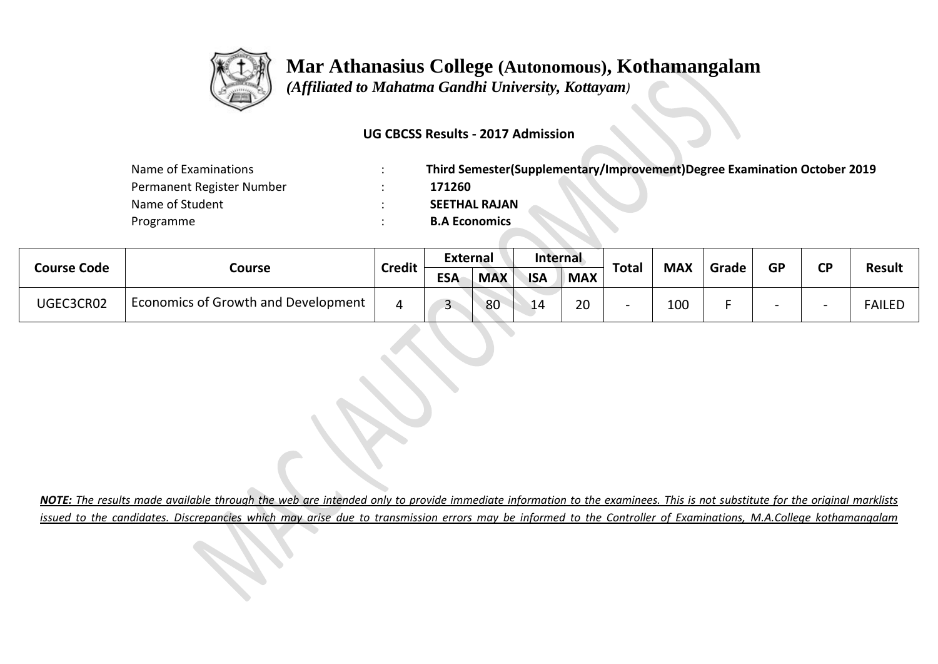

 *(Affiliated to Mahatma Gandhi University, Kottayam)*

### **UG CBCSS Results - 2017 Admission**

| Name of Examinations      | Third Semester(Supplementary/Improvement)Degree Examination October 2019 |
|---------------------------|--------------------------------------------------------------------------|
| Permanent Register Number | 171260                                                                   |
| Name of Student           | <b>SEETHAL RAJAN</b>                                                     |
| Programme                 | <b>B.A Economics</b>                                                     |

|                    |                                     |               | <b>External</b> |            | Internal   |            |       |            |       | <b>GP</b> | σD |               |
|--------------------|-------------------------------------|---------------|-----------------|------------|------------|------------|-------|------------|-------|-----------|----|---------------|
| <b>Course Code</b> | Course                              | <b>Credit</b> | <b>ESA</b>      | <b>MAX</b> | <b>ISA</b> | <b>MAX</b> | Total | <b>MAX</b> | Grade |           |    | <b>Result</b> |
| UGEC3CR02          | Economics of Growth and Development |               | $\sqrt{2}$<br>ٮ | 80         | 14         | 20         |       | 100        |       |           |    | <b>FAILED</b> |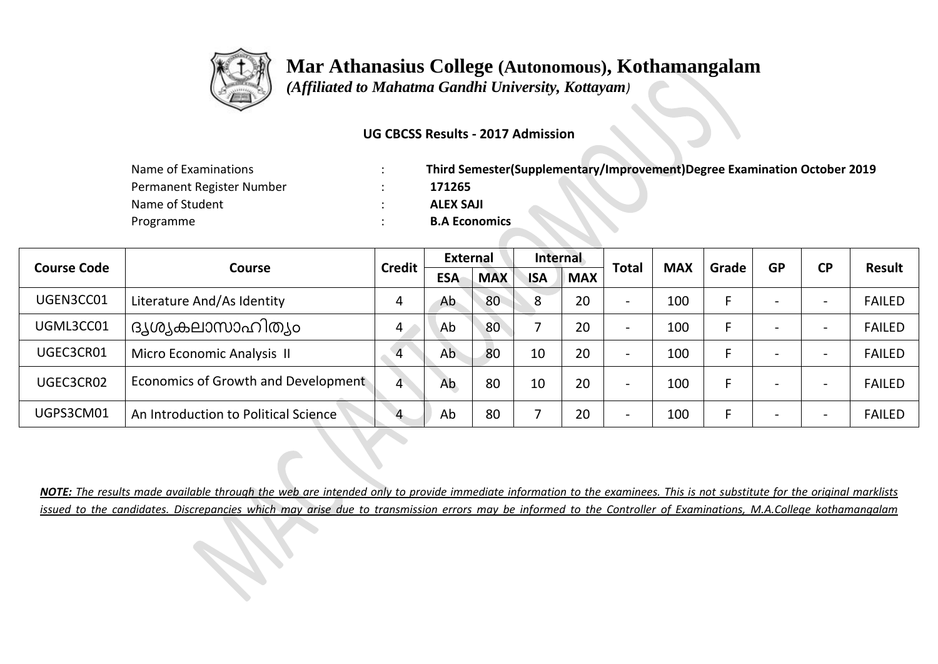

 *(Affiliated to Mahatma Gandhi University, Kottayam)*

#### **UG CBCSS Results - 2017 Admission**

| Name of Examinations      | Third Semester(Supplementary/Improvement)Degree Examination October 2019 |
|---------------------------|--------------------------------------------------------------------------|
| Permanent Register Number | 171265                                                                   |
| Name of Student           | <b>ALEX SAJI</b>                                                         |
| Programme                 | <b>B.A Economics</b>                                                     |

|                    |                                      | <b>Credit</b> | External   |            | Internal   |            |                          | <b>MAX</b> | Grade | <b>GP</b> | <b>CP</b> |               |
|--------------------|--------------------------------------|---------------|------------|------------|------------|------------|--------------------------|------------|-------|-----------|-----------|---------------|
| <b>Course Code</b> | <b>Course</b>                        |               | <b>ESA</b> | <b>MAX</b> | <b>ISA</b> | <b>MAX</b> | <b>Total</b>             |            |       |           |           | <b>Result</b> |
| UGEN3CC01          | Literature And/As Identity           | 4             | Ab         | 80         | 8          | 20         | $\overline{\phantom{0}}$ | 100        |       |           |           | <b>FAILED</b> |
| UGML3CC01          | ദൃശ്യകലാസാഹിത്യം                     | 4             | Ab         | 80         |            | 20         | $\overline{\phantom{0}}$ | 100        |       |           |           | <b>FAILED</b> |
| UGEC3CR01          | Micro Economic Analysis II           | 4             | Ab         | 80         | 10         | 20         | $\overline{\phantom{0}}$ | 100        |       |           |           | <b>FAILED</b> |
| UGEC3CR02          | Economics of Growth and Development  | 4             | Ab         | 80         | 10         | 20         | $\overline{\phantom{a}}$ | 100        |       |           |           | <b>FAILED</b> |
| UGPS3CM01          | An Introduction to Political Science | 4             | Ab         | 80         |            | 20         | $\overline{\phantom{a}}$ | 100        |       |           |           | <b>FAILED</b> |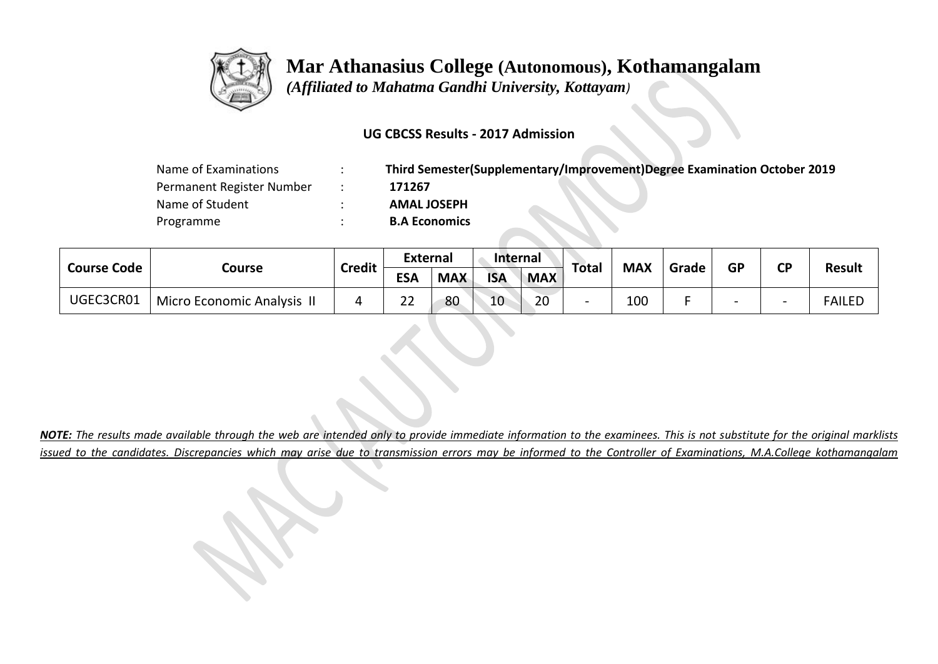

 *(Affiliated to Mahatma Gandhi University, Kottayam)*

### **UG CBCSS Results - 2017 Admission**

| Name of Examinations      | Third Semester(Supplementary/Improvement)Degree Examination October 2019 |
|---------------------------|--------------------------------------------------------------------------|
| Permanent Register Number | 171267                                                                   |
| Name of Student           | <b>AMAL JOSEPH</b>                                                       |
| Programme                 | <b>B.A Economics</b>                                                     |

| <b>Course Code</b> | Course                     | <b>Credit</b> | <b>External</b> |            | <b>Internal</b> |            | Total                    | <b>MAX</b> | Grade | <b>GP</b> | <b>CP</b>                |               |
|--------------------|----------------------------|---------------|-----------------|------------|-----------------|------------|--------------------------|------------|-------|-----------|--------------------------|---------------|
|                    |                            |               | <b>ESA</b>      | <b>MAX</b> | <b>ISA</b>      | <b>MAX</b> |                          |            |       |           |                          | <b>Result</b> |
| UGEC3CR01          | Micro Economic Analysis II | д             | $\sim$<br>∠∠    | 80         | 10              | 20         | $\overline{\phantom{a}}$ | 100        |       |           | $\overline{\phantom{0}}$ | <b>FAILED</b> |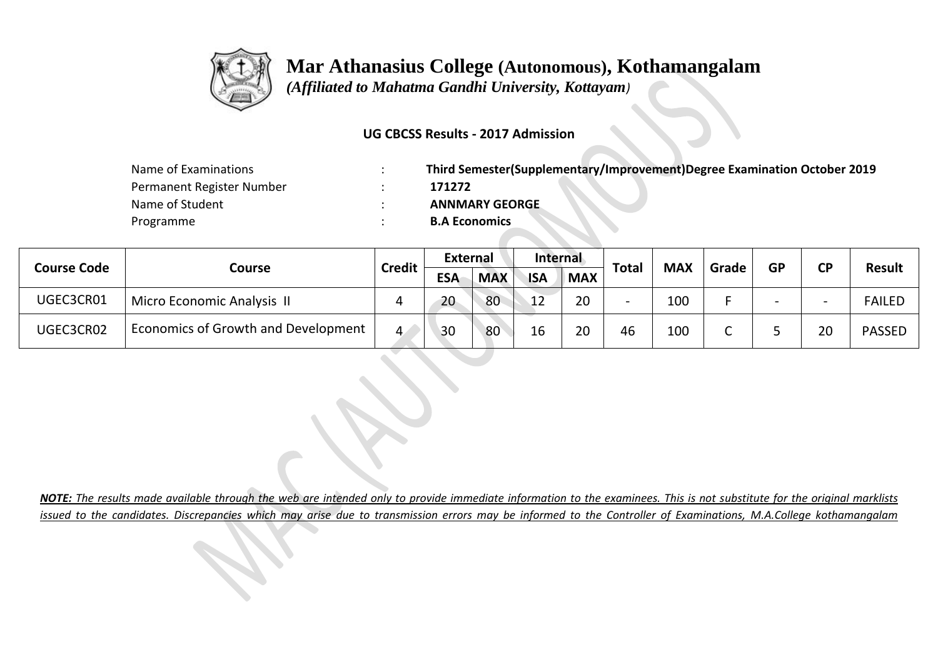

 *(Affiliated to Mahatma Gandhi University, Kottayam)*

#### **UG CBCSS Results - 2017 Admission**

| Name of Examinations      | Third Semester(Supplementary/Improvement)Degree Examination October 2019 |
|---------------------------|--------------------------------------------------------------------------|
| Permanent Register Number | 171272                                                                   |
| Name of Student           | <b>ANNMARY GEORGE</b>                                                    |
| Programme                 | <b>B.A Economics</b>                                                     |

| <b>Course Code</b> |                                     | <b>Credit</b> | <b>External</b> |            | Internal   |            | <b>Total</b> | <b>MAX</b> |       | <b>GP</b> | ΓD | <b>Result</b> |
|--------------------|-------------------------------------|---------------|-----------------|------------|------------|------------|--------------|------------|-------|-----------|----|---------------|
|                    | Course                              |               | <b>ESA</b>      | <b>MAX</b> | <b>ISA</b> | <b>MAX</b> |              |            | Grade |           |    |               |
| UGEC3CR01          | Micro Economic Analysis II          |               | 20              | 80         | 12         | 20         |              | 100        |       |           |    | <b>FAILED</b> |
| UGEC3CR02          | Economics of Growth and Development | 4.            | 30              | 80         | 16         | 20         | 46           | 100        |       |           | 20 | <b>PASSED</b> |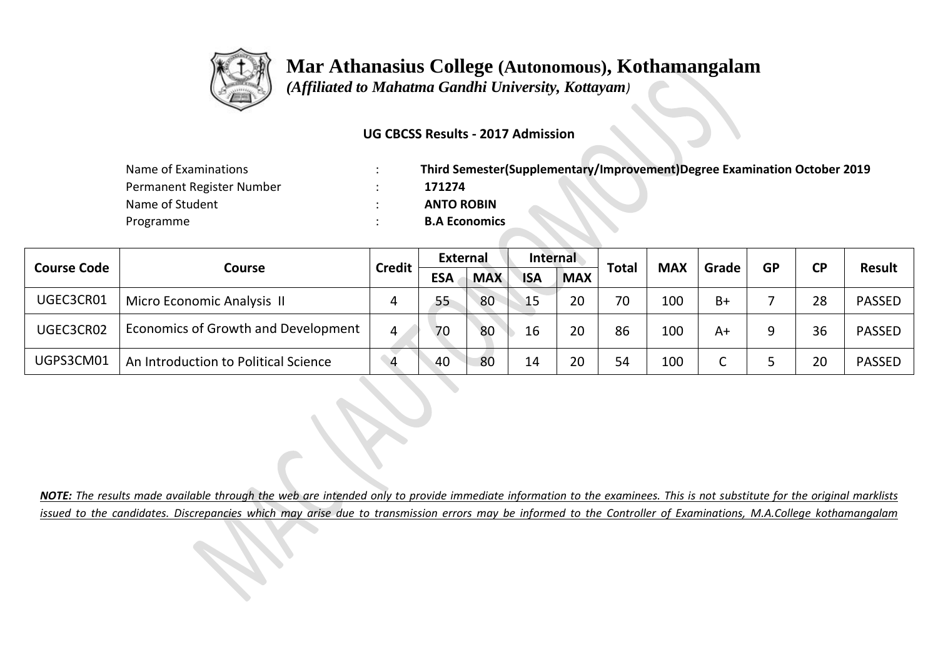

 *(Affiliated to Mahatma Gandhi University, Kottayam)*

### **UG CBCSS Results - 2017 Admission**

| Name of Examinations      | Third Semester(Supplementary/Improvement)Degree Examination October 2019 |
|---------------------------|--------------------------------------------------------------------------|
| Permanent Register Number | 171274                                                                   |
| Name of Student           | <b>ANTO ROBIN</b>                                                        |
| Programme                 | <b>B.A Economics</b>                                                     |

|                    |                                      | <b>Credit</b> | <b>External</b> |            | <b>Internal</b> |            |              |            |       | <b>GP</b> | <b>CP</b> | <b>Result</b> |
|--------------------|--------------------------------------|---------------|-----------------|------------|-----------------|------------|--------------|------------|-------|-----------|-----------|---------------|
| <b>Course Code</b> | Course                               |               | <b>ESA</b>      | <b>MAX</b> | <b>ISA</b>      | <b>MAX</b> | <b>Total</b> | <b>MAX</b> | Grade |           |           |               |
| UGEC3CR01          | Micro Economic Analysis II           |               | 55              | 80         | 15              | 20         | 70           | 100        | $B+$  |           | 28        | <b>PASSED</b> |
| UGEC3CR02          | Economics of Growth and Development  | 4             | 70              | 80         | 16              | 20         | 86           | 100        | A+    |           | 36        | <b>PASSED</b> |
| UGPS3CM01          | An Introduction to Political Science | Δ             | $-40$           | 80         | 14              | 20         | 54           | 100        |       |           | 20        | <b>PASSED</b> |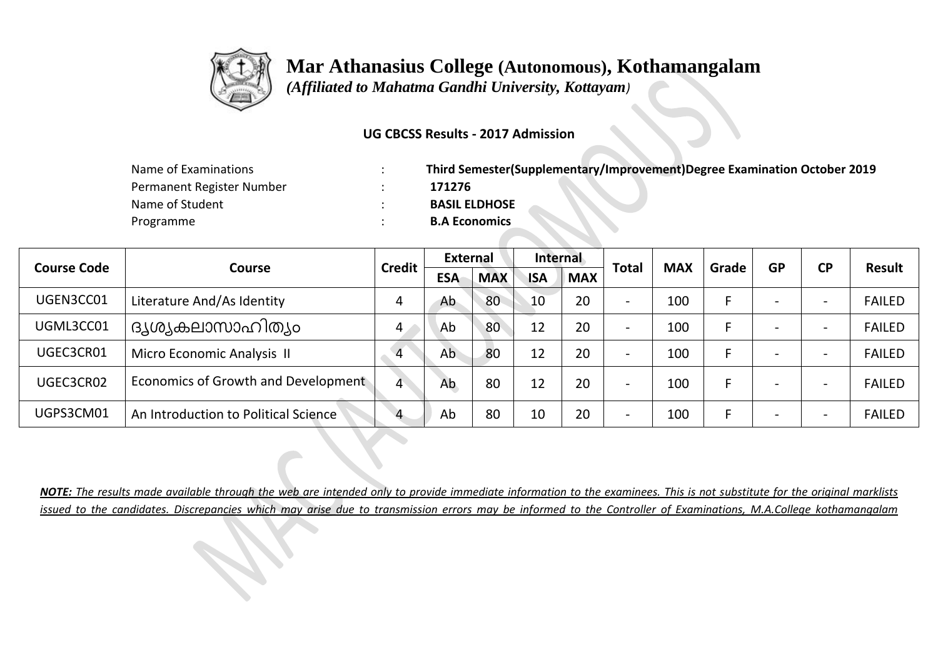

 *(Affiliated to Mahatma Gandhi University, Kottayam)*

#### **UG CBCSS Results - 2017 Admission**

| Name of Examinations      | Third Semester(Supplementary/Improvement)Degree Examination October 2019 |
|---------------------------|--------------------------------------------------------------------------|
| Permanent Register Number | 171276                                                                   |
| Name of Student           | <b>BASIL ELDHOSE</b>                                                     |
| Programme                 | <b>B.A Economics</b>                                                     |

| <b>Course Code</b> |                                      | <b>Credit</b>  | External   |            | Internal   |            | <b>Total</b>             |            |       | <b>GP</b> | <b>CP</b> |               |
|--------------------|--------------------------------------|----------------|------------|------------|------------|------------|--------------------------|------------|-------|-----------|-----------|---------------|
|                    | Course                               |                | <b>ESA</b> | <b>MAX</b> | <b>ISA</b> | <b>MAX</b> |                          | <b>MAX</b> | Grade |           |           | <b>Result</b> |
| UGEN3CC01          | Literature And/As Identity           |                | Ab         | 80         | 10         | 20         | $\overline{\phantom{0}}$ | 100        |       |           |           | <b>FAILED</b> |
| UGML3CC01          | ദൃശ്യകലാസാഹിത്യം                     | 4              | Ab         | 80         | 12         | 20         | $\overline{\phantom{0}}$ | 100        |       |           |           | <b>FAILED</b> |
| UGEC3CR01          | Micro Economic Analysis II           | $\overline{4}$ | Ab         | 80         | 12         | 20         | $\overline{\phantom{0}}$ | 100        |       |           |           | <b>FAILED</b> |
| UGEC3CR02          | Economics of Growth and Development  | 4              | Ab         | 80         | 12         | 20         | $\blacksquare$           | 100        |       |           |           | <b>FAILED</b> |
| UGPS3CM01          | An Introduction to Political Science |                | Ab         | 80         | 10         | 20         | -                        | 100        |       |           |           | <b>FAILED</b> |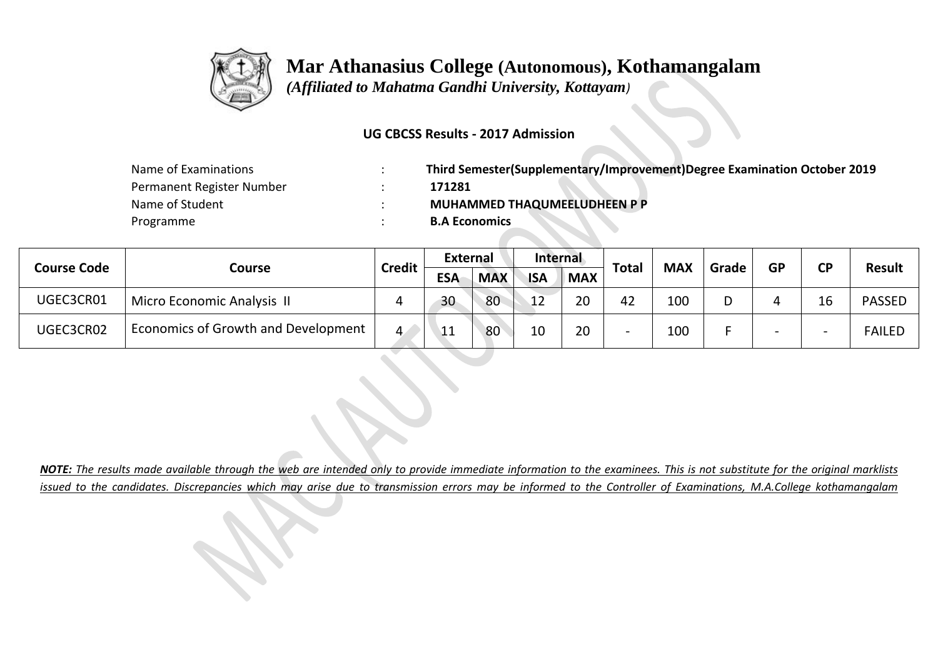

 *(Affiliated to Mahatma Gandhi University, Kottayam)*

#### **UG CBCSS Results - 2017 Admission**

| Name of Examinations      | Third Semester(Supplementary/Improvement)Degree Examination October 2019 |
|---------------------------|--------------------------------------------------------------------------|
| Permanent Register Number | 171281                                                                   |
| Name of Student           | <b>MUHAMMED THAQUMEELUDHEEN P P</b>                                      |
| Programme                 | <b>B.A Economics</b>                                                     |

| <b>Course Code</b> |                                     | <b>Credit</b> | <b>External</b>   |            | Internal   |            | <b>Total</b> | <b>MAX</b> | Grade | <b>GP</b> | <b>CD</b> | <b>Result</b> |
|--------------------|-------------------------------------|---------------|-------------------|------------|------------|------------|--------------|------------|-------|-----------|-----------|---------------|
|                    | Course                              |               | <b>ESA</b>        | <b>MAX</b> | <b>ISA</b> | <b>MAX</b> |              |            |       |           |           |               |
| UGEC3CR01          | Micro Economic Analysis II          | 4             | 30                | 80         | 12         | 20         | 42           | 100        |       |           |           | <b>PASSED</b> |
| UGEC3CR02          | Economics of Growth and Development | 4             | $\sqrt{11}$<br>ᄔᆂ | 80         | 10         | 20         |              | 100        |       |           |           | <b>FAILED</b> |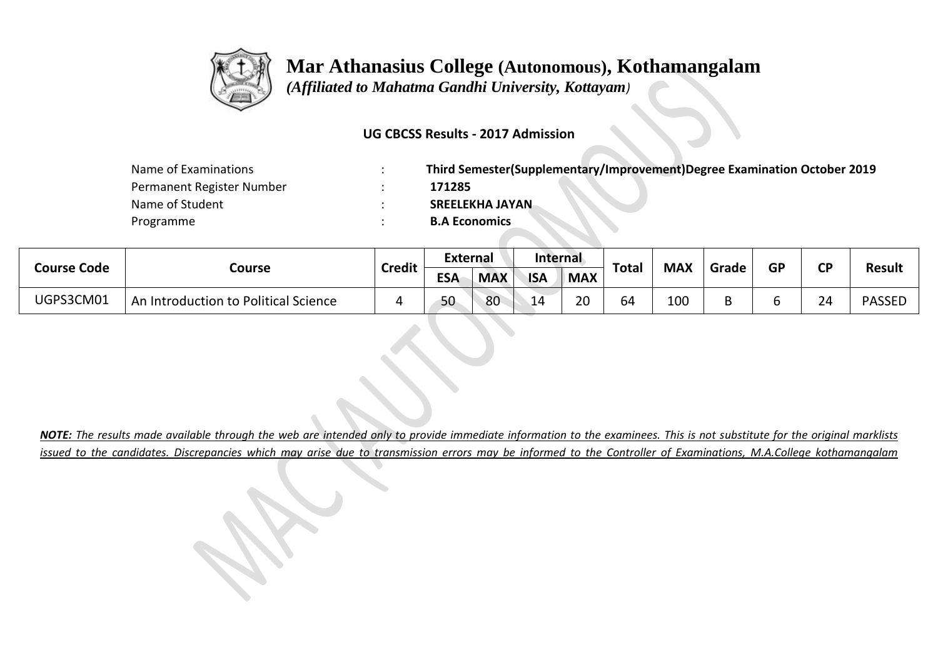

 *(Affiliated to Mahatma Gandhi University, Kottayam)*

### **UG CBCSS Results - 2017 Admission**

| Name of Examinations      | Third Semester(Supplementary/Improvement)Degree Examination October 2019 |
|---------------------------|--------------------------------------------------------------------------|
| Permanent Register Number | 171285                                                                   |
| Name of Student           | <b>SREELEKHA JAYAN</b>                                                   |
| Programme                 | <b>B.A Economics</b>                                                     |

| <b>Course Code</b> |                                      | <b>Credit</b> | <b>External</b> |            | Internal   |            | <b>Total</b> | <b>MAX</b> | Grade | <b>GP</b> | <b>CD</b> | <b>Result</b> |  |
|--------------------|--------------------------------------|---------------|-----------------|------------|------------|------------|--------------|------------|-------|-----------|-----------|---------------|--|
|                    | Course                               |               | <b>ESA</b>      | <b>MAX</b> | <b>ISA</b> | <b>MAX</b> |              |            |       |           |           |               |  |
| UGPS3CM01          | An Introduction to Political Science |               | 50              | 80         | 14         | 20         | 64           | 100        |       |           | 24        | <b>PASSED</b> |  |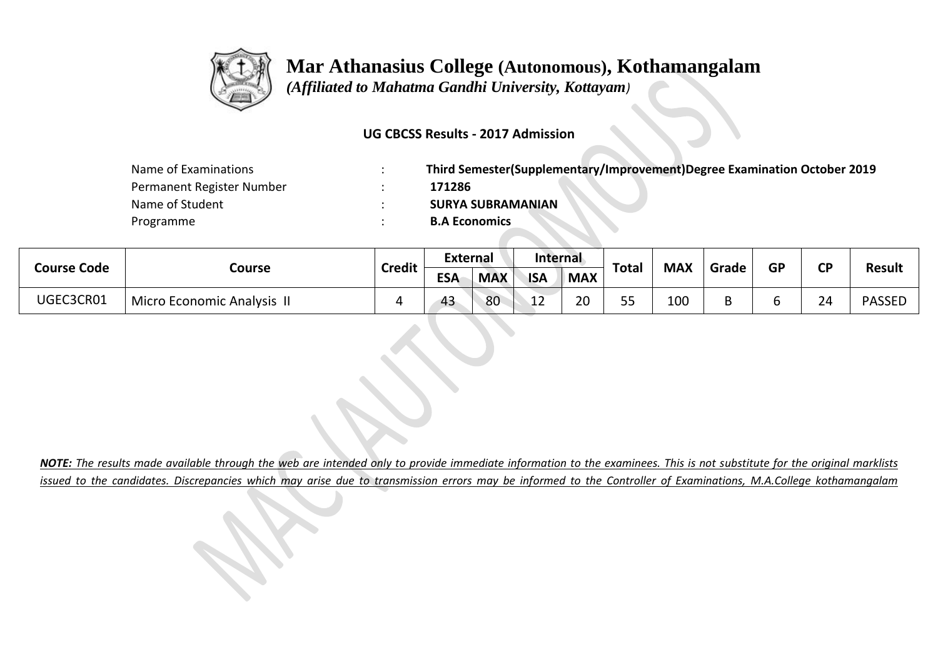

 *(Affiliated to Mahatma Gandhi University, Kottayam)*

#### **UG CBCSS Results - 2017 Admission**

| Name of Examinations      | Third Semester(Supplementary/Improvement)Degree Examination October 2019 |
|---------------------------|--------------------------------------------------------------------------|
| Permanent Register Number | 171286                                                                   |
| Name of Student           | <b>SURYA SUBRAMANIAN</b>                                                 |
| Programme                 | <b>B.A Economics</b>                                                     |

| Course Code |                                   | <b>Credit</b> | <b>External</b> |            | <b>Internal</b> |            | <b>Total</b> | <b>MAX</b> | Grade | <b>GP</b> | ΓD | <b>Result</b> |
|-------------|-----------------------------------|---------------|-----------------|------------|-----------------|------------|--------------|------------|-------|-----------|----|---------------|
|             | Course                            |               | <b>ESA</b>      | <b>MAX</b> | <b>ISA</b>      | <b>MAX</b> |              |            |       |           |    |               |
| UGEC3CR01   | <b>Micro Economic Analysis II</b> |               | 43              | 80         | "<br>∸∸         | 20         | 55           | 100        |       |           | 24 | <b>PASSED</b> |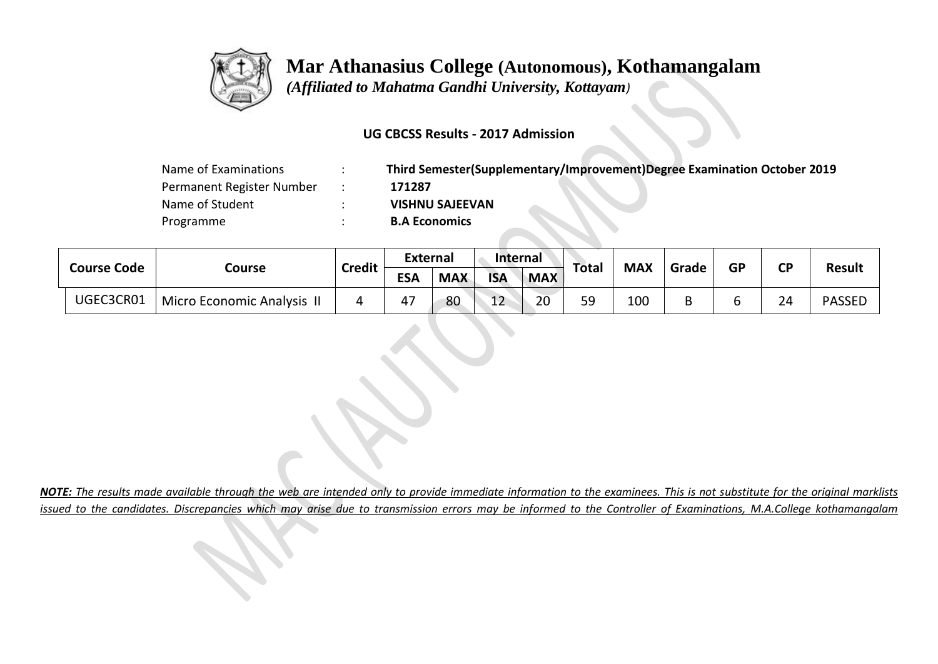

 *(Affiliated to Mahatma Gandhi University, Kottayam)*

### **UG CBCSS Results - 2017 Admission**

| Name of Examinations      |  |
|---------------------------|--|
| Permanent Register Number |  |
| Name of Student           |  |
| Programme                 |  |

Name of Examinations : **Third Semester(Supplementary/Improvement)Degree Examination October 2019** Permanent Register Number : **171287** Name of Student : **VISHNU SAJEEVAN B.A Economics** 

| <b>Course Code</b> |           |                                | <b>External</b> |            | <b>Internal</b> |            | <b>Total</b> | <b>MAX</b> | Grade | <b>GP</b> | <b>CP</b> | <b>Result</b> |               |
|--------------------|-----------|--------------------------------|-----------------|------------|-----------------|------------|--------------|------------|-------|-----------|-----------|---------------|---------------|
|                    |           | Course                         | <b>Credit</b>   | <b>ESA</b> | <b>MAX</b>      | <b>ISA</b> | <b>MAX</b>   |            |       |           |           |               |               |
|                    | UGEC3CR01 | <b>Micro Economic Analysis</b> | ப               | 47         | 80              | 12         | 20           | 59         | 100   |           |           | 24            | <b>PASSED</b> |